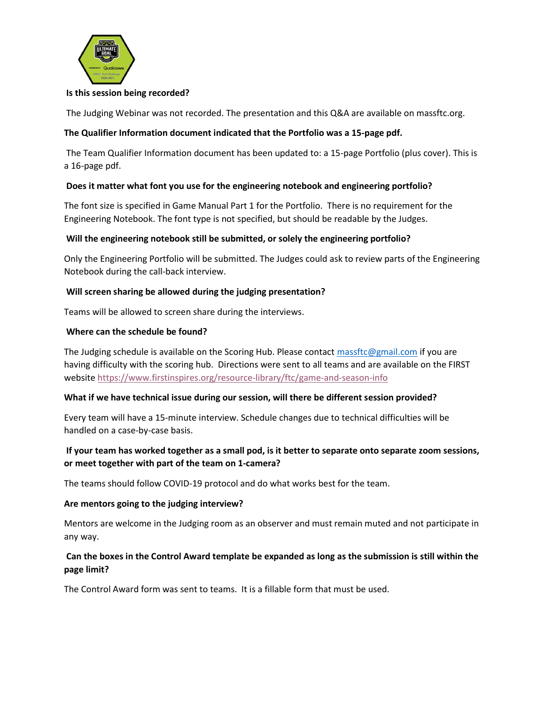

#### Is this session being recorded?

The Judging Webinar was not recorded. The presentation and this Q&A are available on massftc.org.

# The Qualifier Information document indicated that the Portfolio was a 15-page pdf.

 The Team Qualifier Information document has been updated to: a 15-page Portfolio (plus cover). This is a 16-page pdf.

# Does it matter what font you use for the engineering notebook and engineering portfolio?

The font size is specified in Game Manual Part 1 for the Portfolio. There is no requirement for the Engineering Notebook. The font type is not specified, but should be readable by the Judges.

# Will the engineering notebook still be submitted, or solely the engineering portfolio?

Only the Engineering Portfolio will be submitted. The Judges could ask to review parts of the Engineering Notebook during the call-back interview.

#### Will screen sharing be allowed during the judging presentation?

Teams will be allowed to screen share during the interviews.

#### Where can the schedule be found?

The Judging schedule is available on the Scoring Hub. Please contact massftc@gmail.com if you are having difficulty with the scoring hub. Directions were sent to all teams and are available on the FIRST website https://www.firstinspires.org/resource-library/ftc/game-and-season-info

#### What if we have technical issue during our session, will there be different session provided?

Every team will have a 15-minute interview. Schedule changes due to technical difficulties will be handled on a case-by-case basis.

# If your team has worked together as a small pod, is it better to separate onto separate zoom sessions, or meet together with part of the team on 1-camera?

The teams should follow COVID-19 protocol and do what works best for the team.

#### Are mentors going to the judging interview?

Mentors are welcome in the Judging room as an observer and must remain muted and not participate in any way.

# Can the boxes in the Control Award template be expanded as long as the submission is still within the page limit?

The Control Award form was sent to teams. It is a fillable form that must be used.